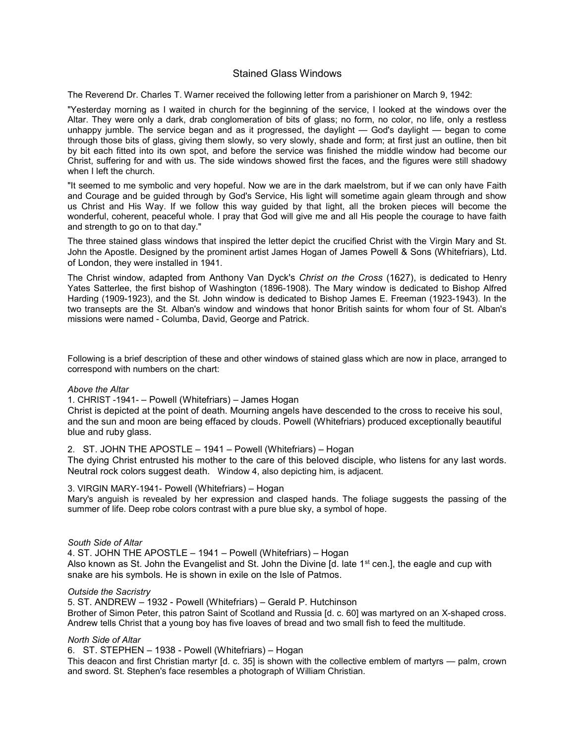# Stained Glass Windows

The Reverend Dr. Charles T. Warner received the following letter from a parishioner on March 9, 1942:

"Yesterday morning as I waited in church for the beginning of the service, I looked at the windows over the Altar. They were only a dark, drab conglomeration of bits of glass; no form, no color, no life, only a restless unhappy jumble. The service began and as it progressed, the daylight — God's daylight — began to come through those bits of glass, giving them slowly, so very slowly, shade and form; at first just an outline, then bit by bit each fitted into its own spot, and before the service was finished the middle window had become our Christ, suffering for and with us. The side windows showed first the faces, and the figures were still shadowy when I left the church.

"It seemed to me symbolic and very hopeful. Now we are in the dark maelstrom, but if we can only have Faith and Courage and be guided through by God's Service, His light will sometime again gleam through and show us Christ and His Way. If we follow this way guided by that light, all the broken pieces will become the wonderful, coherent, peaceful whole. I pray that God will give me and all His people the courage to have faith and strength to go on to that day."

The three stained glass windows that inspired the letter depict the crucified Christ with the Virgin Mary and St. John the Apostle. Designed by the prominent artist James Hogan of James Powell & Sons (Whitefriars), Ltd. of London, they were installed in 1941.

The Christ window, adapted from Anthony Van Dyck's Christ on the Cross (1627), is dedicated to Henry Yates Satterlee, the first bishop of Washington (1896-1908). The Mary window is dedicated to Bishop Alfred Harding (1909-1923), and the St. John window is dedicated to Bishop James E. Freeman (1923-1943). In the two transepts are the St. Alban's window and windows that honor British saints for whom four of St. Alban's missions were named - Columba, David, George and Patrick.

Following is a brief description of these and other windows of stained glass which are now in place, arranged to correspond with numbers on the chart:

#### Above the Altar

1. CHRIST -1941- – Powell (Whitefriars) – James Hogan

Christ is depicted at the point of death. Mourning angels have descended to the cross to receive his soul, and the sun and moon are being effaced by clouds. Powell (Whitefriars) produced exceptionally beautiful blue and ruby glass.

#### 2. ST. JOHN THE APOSTLE – 1941 – Powell (Whitefriars) – Hogan

The dying Christ entrusted his mother to the care of this beloved disciple, who listens for any last words. Neutral rock colors suggest death. Window 4, also depicting him, is adjacent.

#### 3. VIRGIN MARY-1941- Powell (Whitefriars) – Hogan

Mary's anguish is revealed by her expression and clasped hands. The foliage suggests the passing of the summer of life. Deep robe colors contrast with a pure blue sky, a symbol of hope.

#### South Side of Altar

4. ST. JOHN THE APOSTLE – 1941 – Powell (Whitefriars) – Hogan Also known as St. John the Evangelist and St. John the Divine [d. late 1<sup>st</sup> cen.], the eagle and cup with snake are his symbols. He is shown in exile on the Isle of Patmos.

#### Outside the Sacristry

5. ST. ANDREW – 1932 - Powell (Whitefriars) – Gerald P. Hutchinson Brother of Simon Peter, this patron Saint of Scotland and Russia [d. c. 60] was martyred on an X-shaped cross. Andrew tells Christ that a young boy has five loaves of bread and two small fish to feed the multitude.

#### North Side of Altar

6. ST. STEPHEN – 1938 - Powell (Whitefriars) – Hogan

This deacon and first Christian martyr [d. c. 35] is shown with the collective emblem of martyrs — palm, crown and sword. St. Stephen's face resembles a photograph of William Christian.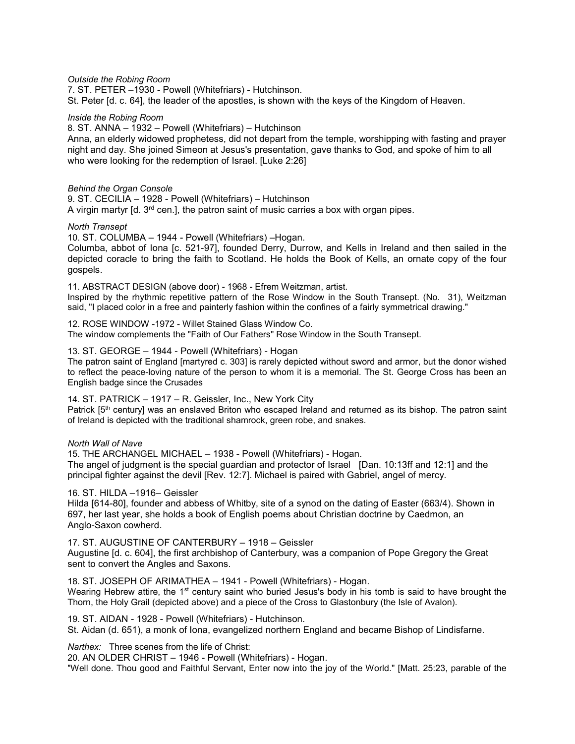Outside the Robing Room

7. ST. PETER –1930 - Powell (Whitefriars) - Hutchinson. St. Peter [d. c. 64], the leader of the apostles, is shown with the keys of the Kingdom of Heaven.

Inside the Robing Room

8. ST. ANNA – 1932 – Powell (Whitefriars) – Hutchinson

Anna, an elderly widowed prophetess, did not depart from the temple, worshipping with fasting and prayer night and day. She joined Simeon at Jesus's presentation, gave thanks to God, and spoke of him to all who were looking for the redemption of Israel. [Luke 2:26]

# Behind the Organ Console

9. ST. CECILIA – 1928 - Powell (Whitefriars) – Hutchinson A virgin martyr  $\lceil d \cdot 3^{rd} \rceil$  cen.], the patron saint of music carries a box with organ pipes.

#### North Transept

10. ST. COLUMBA – 1944 - Powell (Whitefriars) –Hogan.

Columba, abbot of Iona [c. 521-97], founded Derry, Durrow, and Kells in Ireland and then sailed in the depicted coracle to bring the faith to Scotland. He holds the Book of Kells, an ornate copy of the four gospels.

11. ABSTRACT DESIGN (above door) - 1968 - Efrem Weitzman, artist. Inspired by the rhythmic repetitive pattern of the Rose Window in the South Transept. (No. 31), Weitzman said, "I placed color in a free and painterly fashion within the confines of a fairly symmetrical drawing."

12. ROSE WINDOW -1972 - Willet Stained Glass Window Co. The window complements the "Faith of Our Fathers" Rose Window in the South Transept.

13. ST. GEORGE – 1944 - Powell (Whitefriars) - Hogan

The patron saint of England [martyred c. 303] is rarely depicted without sword and armor, but the donor wished to reflect the peace-loving nature of the person to whom it is a memorial. The St. George Cross has been an English badge since the Crusades

# 14. ST. PATRICK – 1917 – R. Geissler, Inc., New York City

Patrick [5<sup>th</sup> century] was an enslaved Briton who escaped Ireland and returned as its bishop. The patron saint of Ireland is depicted with the traditional shamrock, green robe, and snakes.

North Wall of Nave

15. THE ARCHANGEL MICHAEL – 1938 - Powell (Whitefriars) - Hogan. The angel of judgment is the special guardian and protector of Israel [Dan. 10:13ff and 12:1] and the principal fighter against the devil [Rev. 12:7]. Michael is paired with Gabriel, angel of mercy.

16. ST. HILDA –1916– Geissler

Hilda [614-80], founder and abbess of Whitby, site of a synod on the dating of Easter (663/4). Shown in 697, her last year, she holds a book of English poems about Christian doctrine by Caedmon, an Anglo-Saxon cowherd.

17. ST. AUGUSTINE OF CANTERBURY – 1918 – Geissler Augustine [d. c. 604], the first archbishop of Canterbury, was a companion of Pope Gregory the Great sent to convert the Angles and Saxons.

18. ST. JOSEPH OF ARIMATHEA – 1941 - Powell (Whitefriars) - Hogan. Wearing Hebrew attire, the 1<sup>st</sup> century saint who buried Jesus's body in his tomb is said to have brought the Thorn, the Holy Grail (depicted above) and a piece of the Cross to Glastonbury (the Isle of Avalon).

19. ST. AIDAN - 1928 - Powell (Whitefriars) - Hutchinson. St. Aidan (d. 651), a monk of Iona, evangelized northern England and became Bishop of Lindisfarne.

Narthex: Three scenes from the life of Christ:

20. AN OLDER CHRIST – 1946 - Powell (Whitefriars) - Hogan.

"Well done. Thou good and Faithful Servant, Enter now into the joy of the World." [Matt. 25:23, parable of the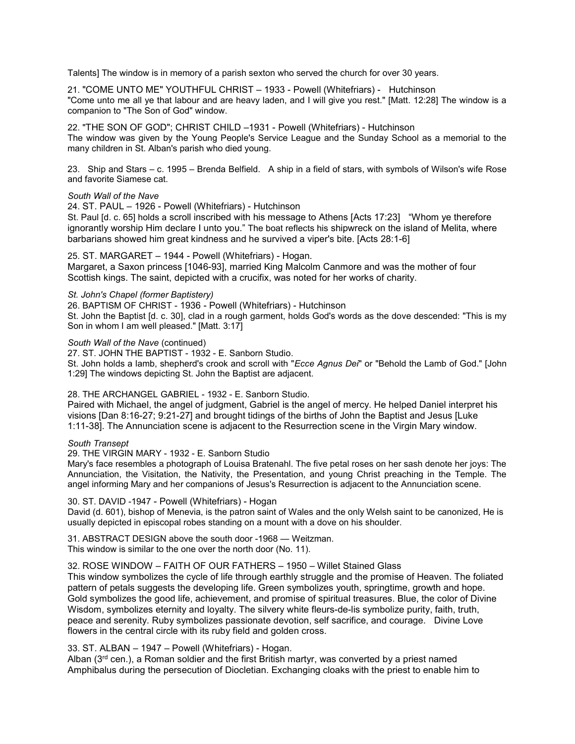Talents] The window is in memory of a parish sexton who served the church for over 30 years.

21. "COME UNTO ME" YOUTHFUL CHRIST – 1933 - Powell (Whitefriars) - Hutchinson "Come unto me all ye that labour and are heavy laden, and I will give you rest." [Matt. 12:28] The window is a companion to "The Son of God" window.

22. "THE SON OF GOD"; CHRIST CHILD –1931 - Powell (Whitefriars) - Hutchinson The window was given by the Young People's Service League and the Sunday School as a memorial to the many children in St. Alban's parish who died young.

23. Ship and Stars – c. 1995 – Brenda Belfield. A ship in a field of stars, with symbols of Wilson's wife Rose and favorite Siamese cat.

#### South Wall of the Nave

24. ST. PAUL – 1926 - Powell (Whitefriars) - Hutchinson

St. Paul [d. c. 65] holds a scroll inscribed with his message to Athens [Acts 17:23] "Whom ye therefore ignorantly worship Him declare I unto you." The boat reflects his shipwreck on the island of Melita, where barbarians showed him great kindness and he survived a viper's bite. [Acts 28:1-6]

# 25. ST. MARGARET – 1944 - Powell (Whitefriars) - Hogan.

Margaret, a Saxon princess [1046-93], married King Malcolm Canmore and was the mother of four Scottish kings. The saint, depicted with a crucifix, was noted for her works of charity.

St. John's Chapel (former Baptistery)

26. BAPTISM OF CHRIST - 1936 - Powell (Whitefriars) - Hutchinson

St. John the Baptist [d. c. 30], clad in a rough garment, holds God's words as the dove descended: "This is my Son in whom I am well pleased." [Matt. 3:17]

South Wall of the Nave (continued)

27. ST. JOHN THE BAPTIST - 1932 - E. Sanborn Studio.

St. John holds a lamb, shepherd's crook and scroll with "Ecce Agnus Dei" or "Behold the Lamb of God." [John 1:29] The windows depicting St. John the Baptist are adjacent.

# 28. THE ARCHANGEL GABRIEL - 1932 - E. Sanborn Studio.

Paired with Michael, the angel of judgment, Gabriel is the angel of mercy. He helped Daniel interpret his visions [Dan 8:16-27; 9:21-27] and brought tidings of the births of John the Baptist and Jesus [Luke 1:11-38]. The Annunciation scene is adjacent to the Resurrection scene in the Virgin Mary window.

#### South Transept

29. THE VIRGIN MARY - 1932 - E. Sanborn Studio

Mary's face resembles a photograph of Louisa Bratenahl. The five petal roses on her sash denote her joys: The Annunciation, the Visitation, the Nativity, the Presentation, and young Christ preaching in the Temple. The angel informing Mary and her companions of Jesus's Resurrection is adjacent to the Annunciation scene.

# 30. ST. DAVID -1947 - Powell (Whitefriars) - Hogan

David (d. 601), bishop of Menevia, is the patron saint of Wales and the only Welsh saint to be canonized, He is usually depicted in episcopal robes standing on a mount with a dove on his shoulder.

31. ABSTRACT DESIGN above the south door -1968 — Weitzman. This window is similar to the one over the north door (No. 11).

# 32. ROSE WINDOW – FAITH OF OUR FATHERS – 1950 – Willet Stained Glass

This window symbolizes the cycle of life through earthly struggle and the promise of Heaven. The foliated pattern of petals suggests the developing life. Green symbolizes youth, springtime, growth and hope. Gold symbolizes the good life, achievement, and promise of spiritual treasures. Blue, the color of Divine Wisdom, symbolizes eternity and loyalty. The silvery white fleurs-de-lis symbolize purity, faith, truth, peace and serenity. Ruby symbolizes passionate devotion, self sacrifice, and courage. Divine Love flowers in the central circle with its ruby field and golden cross.

# 33. ST. ALBAN – 1947 – Powell (Whitefriars) - Hogan.

Alban ( $3<sup>rd</sup>$  cen.), a Roman soldier and the first British martyr, was converted by a priest named Amphibalus during the persecution of Diocletian. Exchanging cloaks with the priest to enable him to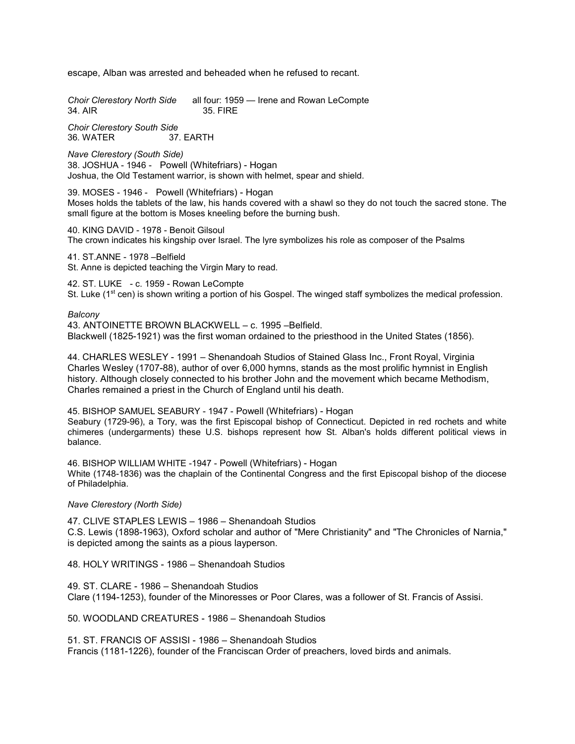escape, Alban was arrested and beheaded when he refused to recant.

Choir Clerestory North Side all four: 1959 — Irene and Rowan LeCompte<br>34. AIR 6.1876 1958 - 1958 S. FIRE 35. FIRE

Choir Clerestory South Side 36. WATER 37. EARTH

Nave Clerestory (South Side) 38. JOSHUA - 1946 - Powell (Whitefriars) - Hogan Joshua, the Old Testament warrior, is shown with helmet, spear and shield.

39. MOSES - 1946 - Powell (Whitefriars) - Hogan Moses holds the tablets of the law, his hands covered with a shawl so they do not touch the sacred stone. The small figure at the bottom is Moses kneeling before the burning bush.

40. KING DAVID - 1978 - Benoit Gilsoul The crown indicates his kingship over Israel. The lyre symbolizes his role as composer of the Psalms

41. ST.ANNE - 1978 –Belfield St. Anne is depicted teaching the Virgin Mary to read.

42. ST. LUKE - c. 1959 - Rowan LeCompte St. Luke (1<sup>st</sup> cen) is shown writing a portion of his Gospel. The winged staff symbolizes the medical profession.

#### Balcony

43. ANTOINETTE BROWN BLACKWELL – c. 1995 –Belfield. Blackwell (1825-1921) was the first woman ordained to the priesthood in the United States (1856).

44. CHARLES WESLEY - 1991 – Shenandoah Studios of Stained Glass Inc., Front Royal, Virginia Charles Wesley (1707-88), author of over 6,000 hymns, stands as the most prolific hymnist in English history. Although closely connected to his brother John and the movement which became Methodism, Charles remained a priest in the Church of England until his death.

45. BISHOP SAMUEL SEABURY - 1947 - Powell (Whitefriars) - Hogan Seabury (1729-96), a Tory, was the first Episcopal bishop of Connecticut. Depicted in red rochets and white chimeres (undergarments) these U.S. bishops represent how St. Alban's holds different political views in balance.

46. BISHOP WILLIAM WHITE -1947 - Powell (Whitefriars) - Hogan White (1748-1836) was the chaplain of the Continental Congress and the first Episcopal bishop of the diocese of Philadelphia.

Nave Clerestory (North Side)

47. CLIVE STAPLES LEWIS – 1986 – Shenandoah Studios C.S. Lewis (1898-1963), Oxford scholar and author of "Mere Christianity" and "The Chronicles of Narnia," is depicted among the saints as a pious layperson.

48. HOLY WRITINGS - 1986 – Shenandoah Studios

49. ST. CLARE - 1986 – Shenandoah Studios Clare (1194-1253), founder of the Minoresses or Poor Clares, was a follower of St. Francis of Assisi.

50. WOODLAND CREATURES - 1986 – Shenandoah Studios

51. ST. FRANCIS OF ASSISI - 1986 – Shenandoah Studios Francis (1181-1226), founder of the Franciscan Order of preachers, loved birds and animals.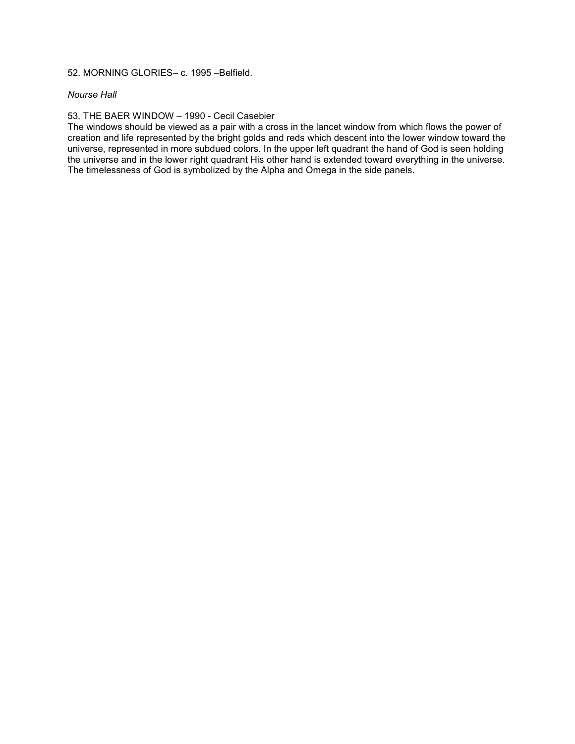# 52. MORNING GLORIES– c. 1995 –Belfield.

# Nourse Hall

# 53. THE BAER WINDOW – 1990 - Cecil Casebier

The windows should be viewed as a pair with a cross in the lancet window from which flows the power of creation and life represented by the bright golds and reds which descent into the lower window toward the universe, represented in more subdued colors. In the upper left quadrant the hand of God is seen holding the universe and in the lower right quadrant His other hand is extended toward everything in the universe. The timelessness of God is symbolized by the Alpha and Omega in the side panels.